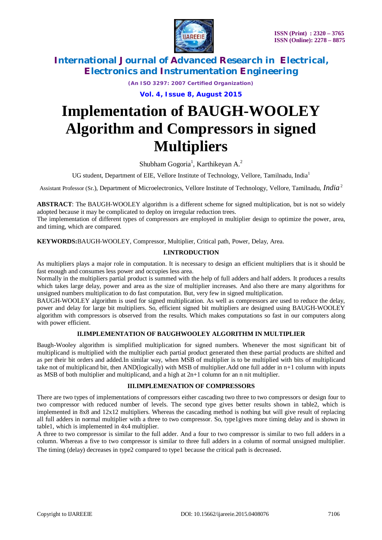

*(An ISO 3297: 2007 Certified Organization)*

**Vol. 4, Issue 8, August 2015**

# **Implementation of BAUGH-WOOLEY Algorithm and Compressors in signed Multipliers**

Shubham Gogoria<sup>1</sup>, Karthikeyan A.<sup>2</sup>

UG student, Department of EIE, Vellore Institute of Technology, Vellore, Tamilnadu, India<sup>1</sup>

Assistant Professor (Sr.), Department of Microelectronics, Vellore Institute of Technology*,* Vellore*,* Tamilnadu, *India*<sup>2</sup>

**ABSTRACT**: The BAUGH-WOOLEY algorithm is a different scheme for signed multiplication, but is not so widely adopted because it may be complicated to deploy on irregular reduction trees.

The implementation of different types of compressors are employed in multiplier design to optimize the power, area, and timing, which are compared.

**KEYWORDS:**BAUGH-WOOLEY, Compressor, Multiplier, Critical path, Power, Delay, Area.

### **I.INTRODUCTION**

As multipliers plays a major role in computation. It is necessary to design an efficient multipliers that is it should be fast enough and consumes less power and occupies less area.

Normally in the multipliers partial product is summed with the help of full adders and half adders. It produces a results which takes large delay, power and area as the size of multiplier increases. And also there are many algorithms for unsigned numbers multiplication to do fast computation. But, very few in signed multiplication.

BAUGH-WOOLEY algorithm is used for signed multiplication. As well as compressors are used to reduce the delay, power and delay for large bit multipliers. So, efficient signed bit multipliers are designed using BAUGH-WOOLEY algorithm with compressors is observed from the results. Which makes computations so fast in our computers along with power efficient.

#### **II.IMPLEMENTATION OF BAUGHWOOLEY ALGORITHM IN MULTIPLIER**

Baugh-Wooley algorithm is simplified multiplication for signed numbers. Whenever the most significant bit of multiplicand is multiplied with the multiplier each partial product generated then these partial products are shifted and as per their bit orders and added.In similar way, when MSB of multiplier is to be multiplied with bits of multiplicand take not of multiplicand bit, then AND(logically) with MSB of multiplier.Add one full adder in n+1 column with inputs as MSB of both multiplier and multiplicand, and a high at  $2n+1$  column for an n nit multiplier.

#### **III.IMPLEMENATION OF COMPRESSORS**

There are two types of implementations of compressors either cascading two three to two compressors or design four to two compressor with reduced number of levels. The second type gives better results shown in table2, which is implemented in 8x8 and 12x12 multipliers. Whereas the cascading method is nothing but will give result of replacing all full adders in normal multiplier with a three to two compressor. So, type1gives more timing delay and is shown in table1, which is implemented in 4x4 multiplier.

A three to two compressor is similar to the full adder. And a four to two compressor is similar to two full adders in a column. Whereas a five to two compressor is similar to three full adders in a column of normal unsigned multiplier. The timing (delay) decreases in type2 compared to type1 because the critical path is decreased.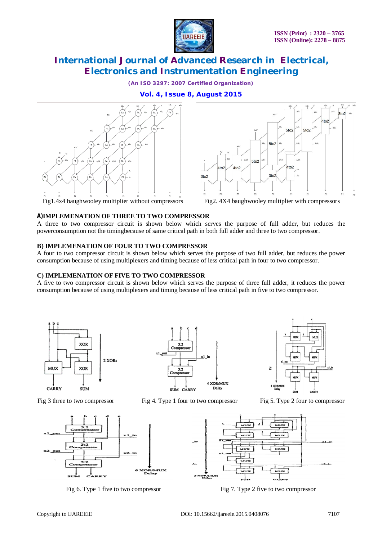

*(An ISO 3297: 2007 Certified Organization)*

## **Vol. 4, Issue 8, August 2015**





Fig1.4x4 baughwooley multiplier without compressors Fig2. 4X4 baughwooley multiplier with compressors

#### **A)IMPLEMENATION OF THREE TO TWO COMPRESSOR**

A three to two compressor circuit is shown below which serves the purpose of full adder, but reduces the powerconsumption not the timingbecause of same critical path in both full adder and three to two compressor.

#### **B) IMPLEMENATION OF FOUR TO TWO COMPRESSOR**

A four to two compressor circuit is shown below which serves the purpose of two full adder, but reduces the power consumption because of using multiplexers and timing because of less critical path in four to two compressor.

#### **C) IMPLEMENATION OF FIVE TO TWO COMPRESSOR**

A five to two compressor circuit is shown below which serves the purpose of three full adder, it reduces the power consumption because of using multiplexers and timing because of less critical path in five to two compressor.





Fig 3 three to two compressor Fig 4. Type 1 four to two compressor Fig 5. Type 2 four to compressor





Fig 6. Type 1 five to two compressor Fig 7. Type 2 five to two compressor

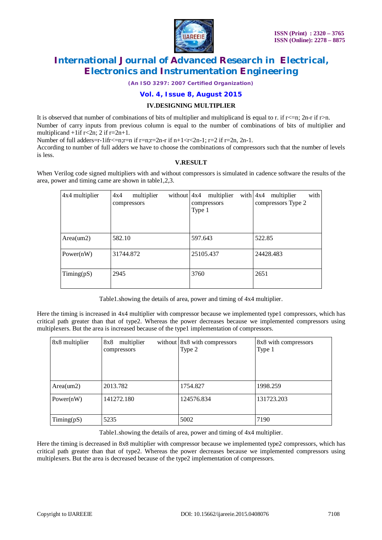

*(An ISO 3297: 2007 Certified Organization)*

#### **Vol. 4, Issue 8, August 2015**

#### **IV.DESIGNING MULTIPLIER**

It is observed that number of combinations of bits of multiplier and multiplicand is equal to r. if  $r \leq n$ ; 2n-r if r>n. Number of carry inputs from previous column is equal to the number of combinations of bits of multiplier and multiplicand  $+1$ if r<2n; 2 if r=2n+1.

Number of full adders=r-1ifr<=n;r=n if r=n;r=2n-r if n+1<r<2n-1; r=2 if r=2n, 2n-1.

According to number of full adders we have to choose the combinations of compressors such that the number of levels is less.

#### **V.RESULT**

When Verilog code signed multipliers with and without compressors is simulated in cadence software the results of the area, power and timing came are shown in table1,2,3.

| 4x4 multiplier   | multiplier<br>without $4x4$<br>4x4<br>compressors | multiplier<br>compressors<br>Type 1 | with<br>with $4x4$<br>multiplier<br>compressors Type 2 |
|------------------|---------------------------------------------------|-------------------------------------|--------------------------------------------------------|
| Area(um2)        | 582.10                                            | 597.643                             | 522.85                                                 |
| Power $(nW)$     | 31744.872                                         | 25105.437                           | 24428.483                                              |
| $T$ iming $(pS)$ | 2945                                              | 3760                                | 2651                                                   |

Table1.showing the details of area, power and timing of 4x4 multiplier.

Here the timing is increased in 4x4 multiplier with compressor because we implemented type1 compressors, which has critical path greater than that of type2. Whereas the power decreases because we implemented compressors using multiplexers. But the area is increased because of the type1 implementation of compressors.

| 8x8 multiplier   | multiplier<br>8x8<br>compressors | without 8x8 with compressors<br>Type 2 | 8x8 with compressors<br>Type 1 |
|------------------|----------------------------------|----------------------------------------|--------------------------------|
| Area(um2)        | 2013.782                         | 1754.827                               | 1998.259                       |
| Power $(nW)$     | 141272.180                       | 124576.834                             | 131723.203                     |
| $T$ iming $(pS)$ | 5235                             | 5002                                   | 7190                           |

Table1.showing the details of area, power and timing of 4x4 multiplier.

Here the timing is decreased in 8x8 multiplier with compressor because we implemented type2 compressors, which has critical path greater than that of type2. Whereas the power decreases because we implemented compressors using multiplexers. But the area is decreased because of the type2 implementation of compressors.